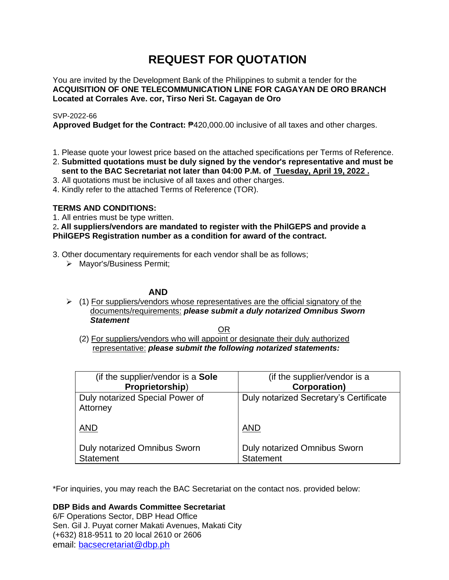# **REQUEST FOR QUOTATION**

You are invited by the Development Bank of the Philippines to submit a tender for the **ACQUISITION OF ONE TELECOMMUNICATION LINE FOR CAGAYAN DE ORO BRANCH Located at Corrales Ave. cor, Tirso Neri St. Cagayan de Oro**

## SVP-2022-66

**Approved Budget for the Contract:** ₱420,000.00 inclusive of all taxes and other charges.

- 1. Please quote your lowest price based on the attached specifications per Terms of Reference.
- 2. **Submitted quotations must be duly signed by the vendor's representative and must be sent to the BAC Secretariat not later than 04:00 P.M. of Tuesday, April 19, 2022 .**
- 3. All quotations must be inclusive of all taxes and other charges.
- 4. Kindly refer to the attached Terms of Reference (TOR).

# **TERMS AND CONDITIONS:**

1. All entries must be type written.

## 2**. All suppliers/vendors are mandated to register with the PhilGEPS and provide a PhilGEPS Registration number as a condition for award of the contract.**

- 3. Other documentary requirements for each vendor shall be as follows;
	- ➢ Mayor's/Business Permit;

## **AND**

 $\geq$  (1) For suppliers/vendors whose representatives are the official signatory of the documents/requirements: *please submit a duly notarized Omnibus Sworn Statement*

<u>OR Starting and the Starting OR Starting</u>

(2) For suppliers/vendors who will appoint or designate their duly authorized representative: *please submit the following notarized statements:*

| (if the supplier/vendor is a Sole                       | (if the supplier/vendor is a                            |
|---------------------------------------------------------|---------------------------------------------------------|
| Proprietorship)                                         | <b>Corporation</b> )                                    |
| Duly notarized Special Power of<br>Attorney             | Duly notarized Secretary's Certificate                  |
| <b>AND</b>                                              | <b>AND</b>                                              |
| <b>Duly notarized Omnibus Sworn</b><br><b>Statement</b> | <b>Duly notarized Omnibus Sworn</b><br><b>Statement</b> |

\*For inquiries, you may reach the BAC Secretariat on the contact nos. provided below:

**DBP Bids and Awards Committee Secretariat**  6/F Operations Sector, DBP Head Office

Sen. Gil J. Puyat corner Makati Avenues, Makati City (+632) 818-9511 to 20 local 2610 or 2606 email: [bacsecretariat@dbp.ph](mailto:bacsecretariat@dbp.ph)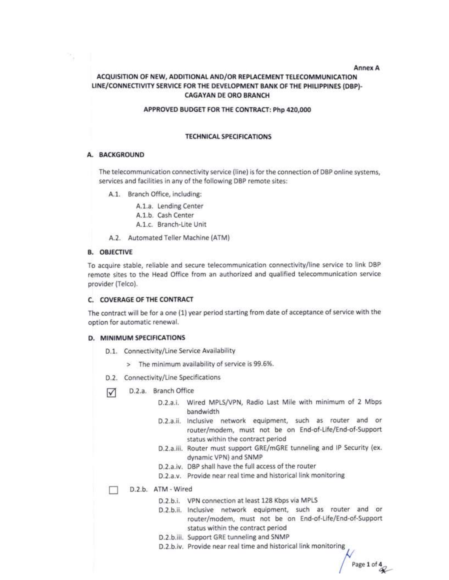#### Annex A

Page 1 of  $\frac{4}{3}$ 

## ACQUISITION OF NEW, ADDITIONAL AND/OR REPLACEMENT TELECOMMUNICATION LINE/CONNECTIVITY SERVICE FOR THE DEVELOPMENT BANK OF THE PHILIPPINES (DBP)-**CAGAYAN DE ORO BRANCH**

#### APPROVED BUDGET FOR THE CONTRACT: Php 420,000

#### **TECHNICAL SPECIFICATIONS**

#### A. BACKGROUND

3 I

The telecommunication connectivity service (line) is for the connection of DBP online systems, services and facilities in any of the following DBP remote sites:

A.1. Branch Office, including:

A.1.a. Lending Center A.1.b. Cash Center A.1.c. Branch-Lite Unit

A.2. Automated Teller Machine (ATM)

#### **B. OBJECTIVE**

To acquire stable, reliable and secure telecommunication connectivity/line service to link DBP remote sites to the Head Office from an authorized and qualified telecommunication service provider (Telco).

#### C. COVERAGE OF THE CONTRACT

The contract will be for a one (1) year period starting from date of acceptance of service with the option for automatic renewal.

#### D. MINIMUM SPECIFICATIONS

- D.1. Connectivity/Line Service Availability
	- > The minimum availability of service is 99.6%.
- D.2. Connectivity/Line Specifications
- D.2.a. Branch Office  $\sqrt{}$ 
	- D.2.a.i. Wired MPLS/VPN, Radio Last Mile with minimum of 2 Mbps bandwidth
	- D.2.a.ii. Inclusive network equipment, such as router and or router/modem, must not be on End-of-Life/End-of-Support status within the contract period
	- D.2.a.iii. Router must support GRE/mGRE tunneling and IP Security (ex. dynamic VPN) and SNMP
	- D.2.a.iv. DBP shall have the full access of the router
	- D.2.a.v. Provide near real time and historical link monitoring

D.2.b. ATM - Wired п

- D.2.b.i. VPN connection at least 128 Kbps via MPLS
- D.2.b.ii. Inclusive network equipment, such as router and or router/modem, must not be on End-of-Life/End-of-Support status within the contract period
- D.2.b.iii. Support GRE tunneling and SNMP
- D.2.b.iv. Provide near real time and historical link monitoring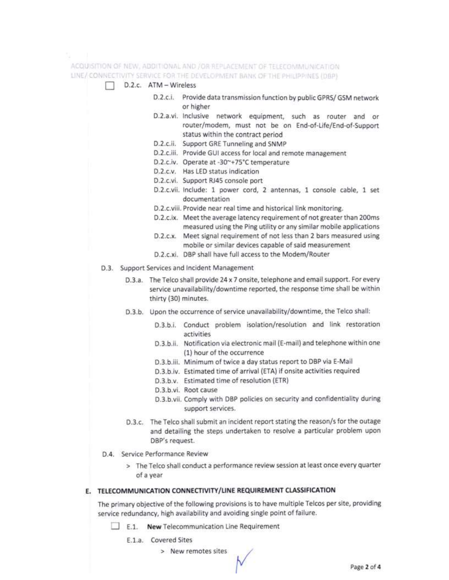ACQUISITION OF NEW, ADDITIONAL AND /OR REPLACEMENT OF TELECOMMUNICATION LINE//CONNECTIVITY SERVICE FOR THE DEVELOPMENT BANK OF THE PHILIPPINES (DBP)

- D.2.c. ATM Wireless
	- D.2.c.i. Provide data transmission function by public GPRS/ GSM network or higher
	- D.2.a.vi. Inclusive network equipment, such as router and or router/modem, must not be on End-of-Life/End-of-Support status within the contract period
	- D.2.c.ii. Support GRE Tunneling and SNMP
	- D.2.c.iii. Provide GUI access for local and remote management
	- D.2.c.iv. Operate at -30~+75°C temperature
	- D.2.c.v. Has LED status indication
	- D.2.c.vi. Support RJ45 console port
	- D.2.c.vii. Include: 1 power cord, 2 antennas, 1 console cable, 1 set documentation
	- D.2.c.viii. Provide near real time and historical link monitoring.
	- D.2.c.ix. Meet the average latency requirement of not greater than 200ms measured using the Ping utility or any similar mobile applications
	- D.2.c.x. Meet signal requirement of not less than 2 bars measured using mobile or similar devices capable of said measurement
	- D.2.c.xi. DBP shall have full access to the Modem/Router
- D.3. Support Services and Incident Management
	- D.3.a. The Telco shall provide 24 x 7 onsite, telephone and email support. For every service unavailability/downtime reported, the response time shall be within thirty (30) minutes.
	- D.3.b. Upon the occurrence of service unavailability/downtime, the Telco shall:
		- D.3.b.i. Conduct problem isolation/resolution and link restoration activities
		- D.3.b.ii. Notification via electronic mail (E-mail) and telephone within one (1) hour of the occurrence
		- D.3.b.iii. Minimum of twice a day status report to DBP via E-Mail
		- D.3.b.iv. Estimated time of arrival (ETA) if onsite activities required
		- D.3.b.v. Estimated time of resolution (ETR)
		- D.3.b.vi. Root cause
		- D.3.b.vii. Comply with DBP policies on security and confidentiality during support services.
	- D.3.c. The Telco shall submit an incident report stating the reason/s for the outage and detailing the steps undertaken to resolve a particular problem upon DBP's request.
- D.4. Service Performance Review
	- > The Telco shall conduct a performance review session at least once every quarter of a year

#### E. TELECOMMUNICATION CONNECTIVITY/LINE REQUIREMENT CLASSIFICATION

The primary objective of the following provisions is to have multiple Telcos per site, providing service redundancy, high availability and avoiding single point of failure.

- $\Box$  E.1. New Telecommunication Line Requirement
	- E.1.a. Covered Sites
		- > New remotes sites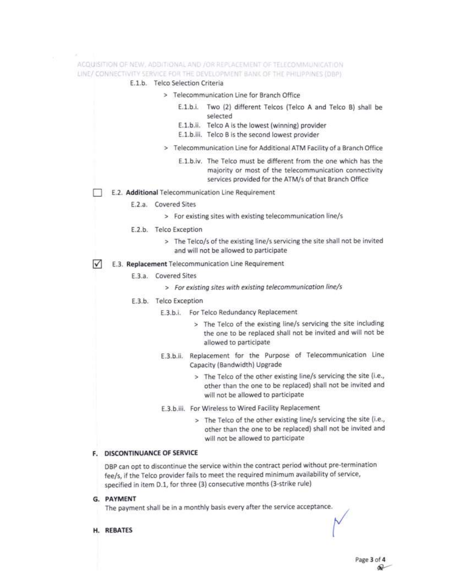# ACQUISTION OF NEW, ADDITIONAL AND JOR REPLACEMENT OF TELECOMMUNICATION LINE/ CONNECTIVITY SERVICE FOR THE DEVELOPMENT BANK OF THE PHILIPPINES (DBP)

#### E.1.b. Telco Selection Criteria

- > Telecommunication Line for Branch Office
	- E.1.b.i. Two (2) different Telcos (Telco A and Telco B) shall be selected
	- E.1.b.ii. Telco A is the lowest (winning) provider
	- E.1.b.iii. Telco B is the second lowest provider
- > Telecommunication Line for Additional ATM Facility of a Branch Office
	- E.1.b.iv. The Telco must be different from the one which has the majority or most of the telecommunication connectivity services provided for the ATM/s of that Branch Office
- E.2. Additional Telecommunication Line Requirement
	- E.2.a. Covered Sites
		- > For existing sites with existing telecommunication line/s
	- E.2.b. Telco Exception
		- > The Telco/s of the existing line/s servicing the site shall not be invited and will not be allowed to participate
- М E.3. Replacement Telecommunication Line Requirement
	- E.3.a. Covered Sites
		- > For existing sites with existing telecommunication line/s
	- E.3.b. Telco Exception
		- E.3.b.i. For Telco Redundancy Replacement
			- > The Telco of the existing line/s servicing the site including the one to be replaced shall not be invited and will not be allowed to participate
		- E.3.b.ii. Replacement for the Purpose of Telecommunication Line Capacity (Bandwidth) Upgrade
			- > The Telco of the other existing line/s servicing the site (i.e., other than the one to be replaced) shall not be invited and will not be allowed to participate
		- E.3.b.iii. For Wireless to Wired Facility Replacement
			- > The Telco of the other existing line/s servicing the site (i.e., other than the one to be replaced) shall not be invited and will not be allowed to participate

## F. DISCONTINUANCE OF SERVICE

DBP can opt to discontinue the service within the contract period without pre-termination fee/s, if the Telco provider fails to meet the required minimum availability of service, specified in item D.1, for three (3) consecutive months (3-strike rule)

G. PAYMENT

The payment shall be in a monthly basis every after the service acceptance.

H. REBATES